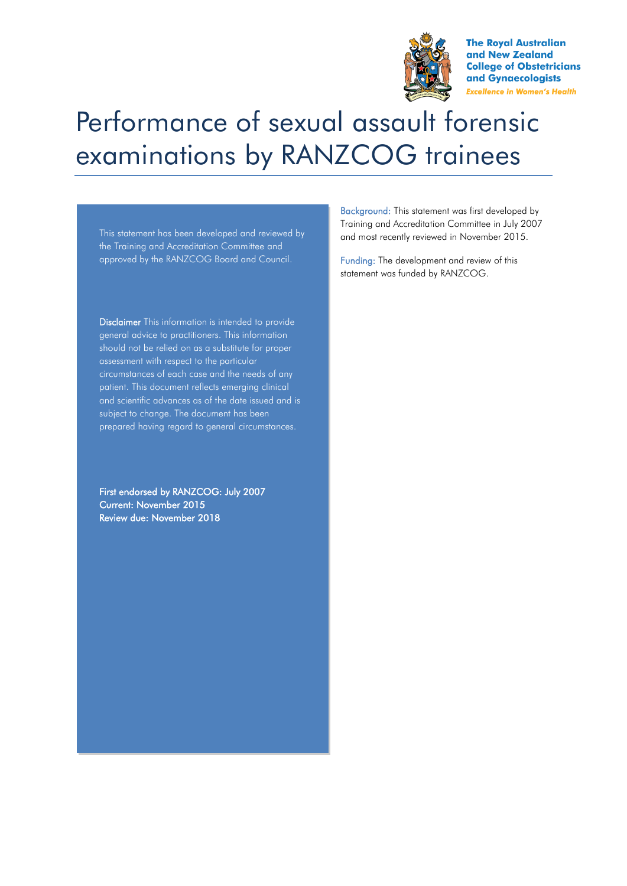

**The Roval Australian** and New Zealand **College of Obstetricians** and Gynaecologists **Excellence in Women's Health** 

## Performance of sexual assault forensic examinations by RANZCOG trainees

This statement has been developed and reviewed by the Training and Accreditation Committee and approved by the RANZCOG Board and Council.

Disclaimer This information is intended to provide general advice to practitioners. This information should not be relied on as a substitute for proper assessment with respect to the particular circumstances of each case and the needs of any patient. This document reflects emerging clinical and scientific advances as of the date issued and is subject to change. The document has been prepared having regard to general circumstances.

First endorsed by RANZCOG: July 2007 Current: November 2015 Review due: November 2018

Background: This statement was first developed by Training and Accreditation Committee in July 2007 and most recently reviewed in November 2015.

Funding: The development and review of this statement was funded by RANZCOG.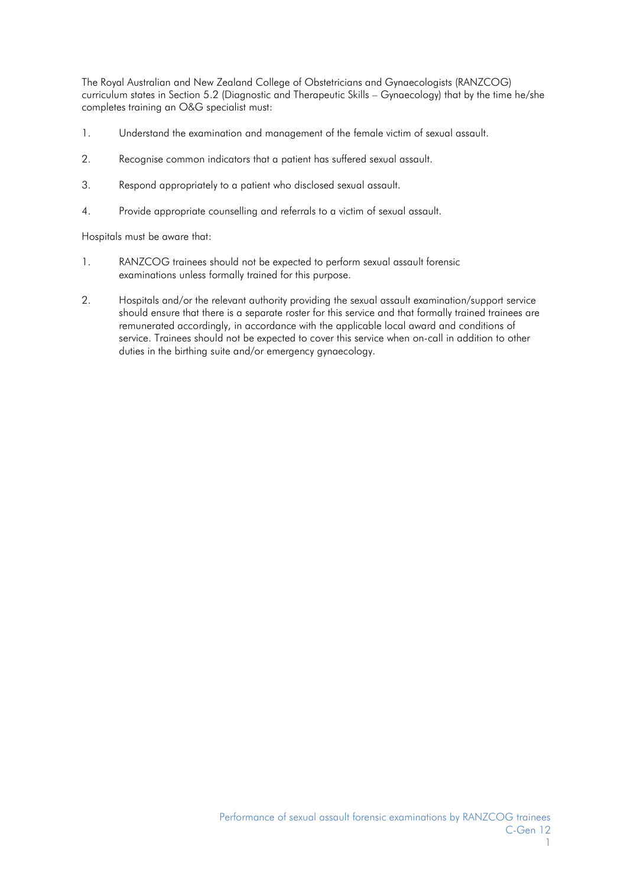The Royal Australian and New Zealand College of Obstetricians and Gynaecologists (RANZCOG) curriculum states in Section 5.2 (Diagnostic and Therapeutic Skills – Gynaecology) that by the time he/she completes training an O&G specialist must:

- 1. Understand the examination and management of the female victim of sexual assault.
- 2. Recognise common indicators that a patient has suffered sexual assault.
- 3. Respond appropriately to a patient who disclosed sexual assault.
- 4. Provide appropriate counselling and referrals to a victim of sexual assault.

Hospitals must be aware that:

- 1. RANZCOG trainees should not be expected to perform sexual assault forensic examinations unless formally trained for this purpose.
- 2. Hospitals and/or the relevant authority providing the sexual assault examination/support service should ensure that there is a separate roster for this service and that formally trained trainees are remunerated accordingly, in accordance with the applicable local award and conditions of service. Trainees should not be expected to cover this service when on-call in addition to other duties in the birthing suite and/or emergency gynaecology.